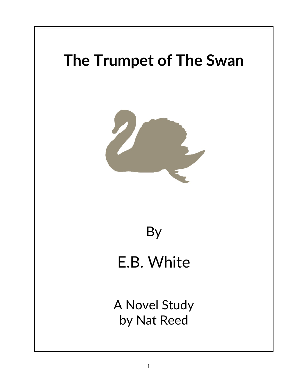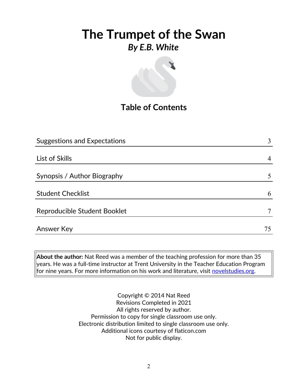

## **Table of Contents**

| <b>Suggestions and Expectations</b> | 3  |
|-------------------------------------|----|
|                                     |    |
| List of Skills                      | 4  |
|                                     |    |
| Synopsis / Author Biography         | 5  |
|                                     |    |
| <b>Student Checklist</b>            | 6  |
|                                     |    |
| Reproducible Student Booklet        |    |
|                                     |    |
| Answer Key                          | 75 |

**About the author:** Nat Reed was a member of the teaching profession for more than 35 years. He was a full-time instructor at Trent University in the Teacher Education Program  $|$  for nine years. For more information on his work and literature, visit [novelstudies.org.](http://www.novelstudies.org/)

> Copyright © 2014 Nat Reed Revisions Completed in 2021 All rights reserved by author. Permission to copy for single classroom use only. Electronic distribution limited to single classroom use only. Additional icons courtesy of flaticon.com Not for public display.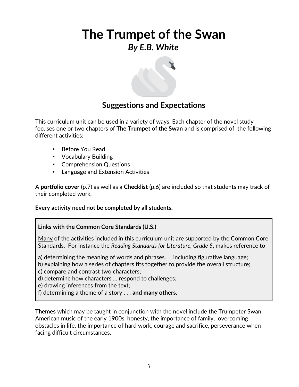

### **Suggestions and Expectations**

This curriculum unit can be used in a variety of ways. Each chapter of the novel study focuses one or two chapters of **The Trumpet of the Swan** and is comprised of the following different activities:

- Before You Read
- Vocabulary Building
- Comprehension Questions
- Language and Extension Activities

A **portfolio cover** (p.7) as well as a **Checklist** (p.6) are included so that students may track of their completed work.

### **Every activity need not be completed by all students.**

### **Links with the Common Core Standards (U.S.)**

Many of the activities included in this curriculum unit are supported by the Common Core Standards. For instance the *Reading Standards for Literature, Grade 5*, makes reference to

a) determining the meaning of words and phrases. . . including figurative language;

b) explaining how a series of chapters fits together to provide the overall structure;

c) compare and contrast two characters;

d) determine how characters … respond to challenges;

e) drawing inferences from the text;

f) determining a theme of a story . . . **and many others.**

**Themes** which may be taught in conjunction with the novel include the Trumpeter Swan, American music of the early 1900s, honesty, the importance of family, overcoming obstacles in life, the importance of hard work, courage and sacrifice, perseverance when facing difficult circumstances.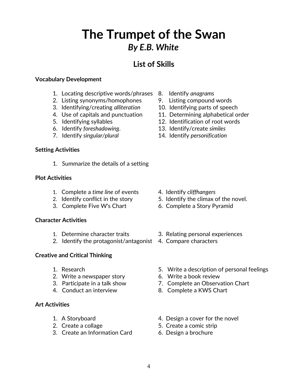### **List of Skills**

### **Vocabulary Development**

- 1. Locating descriptive words/phrases 8. Identify *anagrams*
- 2. Listing synonyms/homophones 9. Listing compound words
- 3. Identifying/creating *alliteration* 10. Identifying parts of speech
- 
- 
- 6. Identify *foreshadowing*. 13. Identify/create *similes*
- 

#### **Setting Activities**

1. Summarize the details of a setting

#### **Plot Activities**

- 1. Complete a *time line* of events 4. Identify *cliffhangers*
- 
- 3. Complete Five W's Chart 6. Complete a Story Pyramid

### **Character Activities**

- 
- 2. Identify the protagonist/antagonist 4. Compare characters

### **Creative and Critical Thinking**

- 
- 2. Write a newspaper story 6. Write a book review
- 
- 

### **Art Activities**

- 
- 
- 3. Create an Information Card 6. Design a brochure
- 
- 
- 
- 4. Use of capitals and punctuation 11. Determining alphabetical order
- 5. Identifying syllables 12. Identification of root words
	-
- 7. Identify *singular/plural* 14. Identify *personification*

- 
- 2. Identify conflict in the story 5. Identify the climax of the novel.
	-
- 1. Determine character traits 3. Relating personal experiences
	-
- 1. Research 5. Write a description of personal feelings
	-
- 3. Participate in a talk show 7. Complete an Observation Chart
- 4. Conduct an interview 8. Complete a KWS Chart
- 1. A Storyboard **4. Design a cover for the novel**
- 2. Create a collage 5. Create a comic strip
	-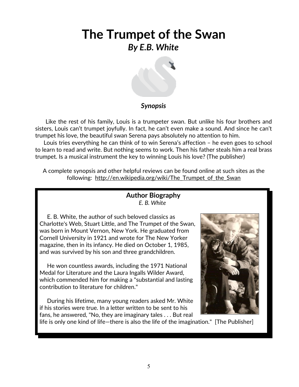

### *Synopsis*

 Like the rest of his family, Louis is a trumpeter swan. But unlike his four brothers and sisters, Louis can't trumpet joyfully. In fact, he can't even make a sound. And since he can't trumpet his love, the beautiful swan Serena pays absolutely no attention to him.

 Louis tries everything he can think of to win Serena's affection – he even goes to school to learn to read and write. But nothing seems to work. Then his father steals him a real brass trumpet. Is a musical instrument the key to winning Louis his love? (The publisher)

A complete synopsis and other helpful reviews can be found online at such sites as the following: http://en.wikipedia.org/wiki/The Trumpet of the Swan

### **Author Biography** *E. B. White*

 E. B. White, the author of such beloved classics as Charlotte's Web, Stuart Little, and The Trumpet of the Swan, was born in Mount Vernon, New York. He graduated from Cornell University in 1921 and wrote for The New Yorker magazine, then in its infancy. He died on October 1, 1985, and was survived by his son and three grandchildren.

 He won countless awards, including the 1971 National Medal for Literature and the Laura Ingalls Wilder Award, which commended him for making a "substantial and lasting contribution to literature for children."

 During his lifetime, many young readers asked Mr. White if his stories were true. In a letter written to be sent to his fans, he answered, "No, they are imaginary tales . . . But real

life is only one kind of life—there is also the life of the imagination." [The Publisher]

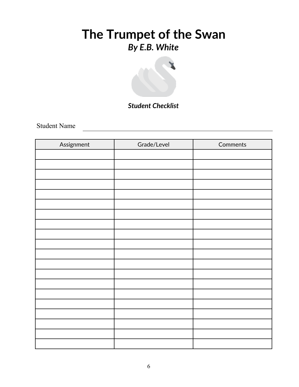

### *Student Checklist*

Student Name

| Assignment | Grade/Level | Comments |
|------------|-------------|----------|
|            |             |          |
|            |             |          |
|            |             |          |
|            |             |          |
|            |             |          |
|            |             |          |
|            |             |          |
|            |             |          |
|            |             |          |
|            |             |          |
|            |             |          |
|            |             |          |
|            |             |          |
|            |             |          |
|            |             |          |
|            |             |          |
|            |             |          |
|            |             |          |
|            |             |          |
|            |             |          |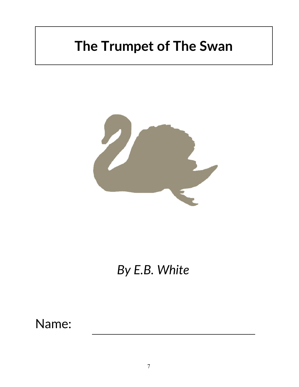# **The Trumpet of The Swan**



# *By E.B. White*

Name: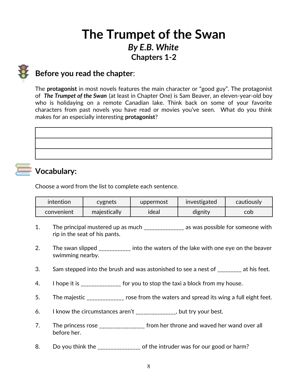## **The Trumpet of the Swan** *By E.B. White* **Chapters 1-2**

### **Before you read the chapter**:

The **protagonist** in most novels features the main character or "good guy". The protagonist of *The Trumpet of the Swan* (at least in Chapter One) is Sam Beaver, an eleven-year-old boy who is holidaying on a remote Canadian lake. Think back on some of your favorite characters from past novels you have read or movies you've seen. What do you think makes for an especially interesting **protagonist**?

## **Vocabulary:**

Choose a word from the list to complete each sentence.

| intention  | cygnets      | uppermost | investigated | cautiously |
|------------|--------------|-----------|--------------|------------|
| convenient | majestically | ideal     | dignity      | cob        |

- 1. The principal mustered up as much \_\_\_\_\_\_\_\_\_\_\_\_\_\_\_ as was possible for someone with rip in the seat of his pants.
- 2. The swan slipped **the into the waters of the lake with one eye on the beaver** swimming nearby.
- 3. Sam stepped into the brush and was astonished to see a nest of at his feet.
- 4. I hope it is \_\_\_\_\_\_\_\_\_\_\_\_\_\_\_ for you to stop the taxi a block from my house.
- 5. The majestic state of the waters and spread its wing a full eight feet.
- 6. I know the circumstances aren't \_\_\_\_\_\_\_\_\_\_\_\_\_\_\_, but try your best.
- 7. The princess rose The state of the state of throne and waved her wand over all before her.
- 8. Do you think the \_\_\_\_\_\_\_\_\_\_\_\_\_\_\_\_ of the intruder was for our good or harm?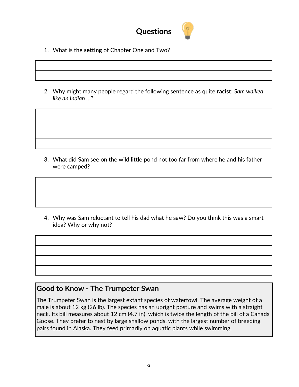

- 1. What is the **setting** of Chapter One and Two?
- 2. Why might many people regard the following sentence as quite **racist**: *Sam walked like an Indian …*?

3. What did Sam see on the wild little pond not too far from where he and his father were camped?

4. Why was Sam reluctant to tell his dad what he saw? Do you think this was a smart idea? Why or why not?

### **Good to Know - The Trumpeter Swan**

The Trumpeter Swan is the largest extant species of waterfowl. The average weight of a male is about 12 kg (26 lb). The species has an upright posture and swims with a straight neck. Its bill measures about 12 cm (4.7 in), which is twice the length of the bill of a Canada Goose. They prefer to nest by large shallow ponds, with the largest number of breeding pairs found in Alaska. They feed primarily on aquatic plants while swimming.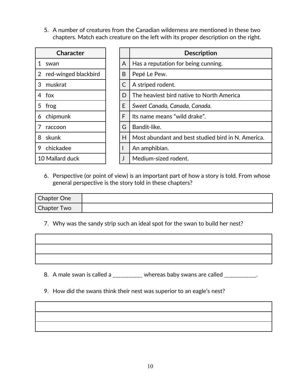5. A number of creatures from the Canadian wilderness are mentioned in these two chapters. Match each creature on the left with its proper description on the right.

| Character                              |   | <b>Description</b>                                 |
|----------------------------------------|---|----------------------------------------------------|
| 1.<br>swan                             | A | Has a reputation for being cunning.                |
| red-winged blackbird<br>$\overline{2}$ | B | Pepé Le Pew.                                       |
| muskrat<br>3                           | C | A striped rodent.                                  |
| 4 fox                                  | D | The heaviest bird native to North America          |
| 5<br>frog                              | E | Sweet Canada, Canada, Canada.                      |
| chipmunk<br>6                          | F | Its name means "wild drake".                       |
| raccoon                                | G | Bandit-like.                                       |
| skunk<br>8                             | H | Most abundant and best studied bird in N. America. |
| chickadee<br>9                         |   | An amphibian.                                      |
| 10 Mallard duck                        |   | Medium-sized rodent.                               |

6. Perspective (or point of view) is an important part of how a story is told. From whose general perspective is the story told in these chapters?

| Chapter One |  |
|-------------|--|
| Chapter Two |  |

7. Why was the sandy strip such an ideal spot for the swan to build her nest?



8. A male swan is called a \_\_\_\_\_\_\_\_\_\_ whereas baby swans are called \_\_\_\_\_\_\_\_\_\_\_\_.

9. How did the swans think their nest was superior to an eagle's nest?

<u> 1989 - Johann Barbara, martxa alemaniar a</u>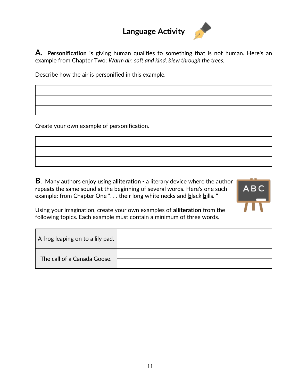## **Language Activity**



**A. Personification** is giving human qualities to something that is not human. Here's an example from Chapter Two: *Warm air, soft and kind, blew through the trees.*

Describe how the air is personified in this example.

Create your own example of personification.

**B**. Many authors enjoy using **alliteration -** a literary device where the author **r**epeats the same sound at the beginning of several words. Here's one such example: from Chapter One ". . . their long white necks and **b**lack **b**ills. "



Using your imagination, create your own examples of **alliteration** from the following topics. Each example must contain a minimum of three words.

| A frog leaping on to a lily pad. |  |
|----------------------------------|--|
| The call of a Canada Goose.      |  |
|                                  |  |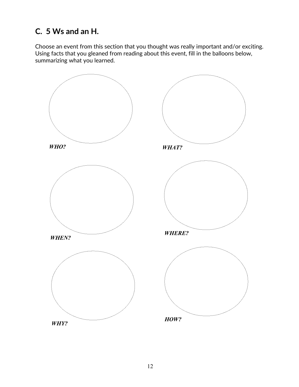## **C. 5 Ws and an H.**

Choose an event from this section that you thought was really important and/or exciting. Using facts that you gleaned from reading about this event, fill in the balloons below, summarizing what you learned.

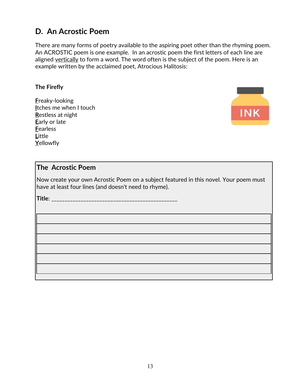### **D. An Acrostic Poem**

There are many forms of poetry available to the aspiring poet other than the rhyming poem. An ACROSTIC poem is one example. In an acrostic poem the first letters of each line are aligned vertically to form a word. The word often is the subject of the poem. Here is an example written by the acclaimed poet, Atrocious Halitosis:

#### **The Firefly**

**F**reaky-looking **I**tches me when I touch **R**estless at night **E**arly or late **F**earless **L**ittle **Y**ellowfly



### **The Acrostic Poem**

Now create your own Acrostic Poem on a subject featured in this novel. Your poem must have at least four lines (and doesn't need to rhyme).

**Title**: \_\_\_\_\_\_\_\_\_\_\_\_\_\_\_\_\_\_\_\_\_\_\_\_\_\_\_\_\_\_\_\_\_\_\_\_\_\_\_\_\_\_\_\_\_\_\_